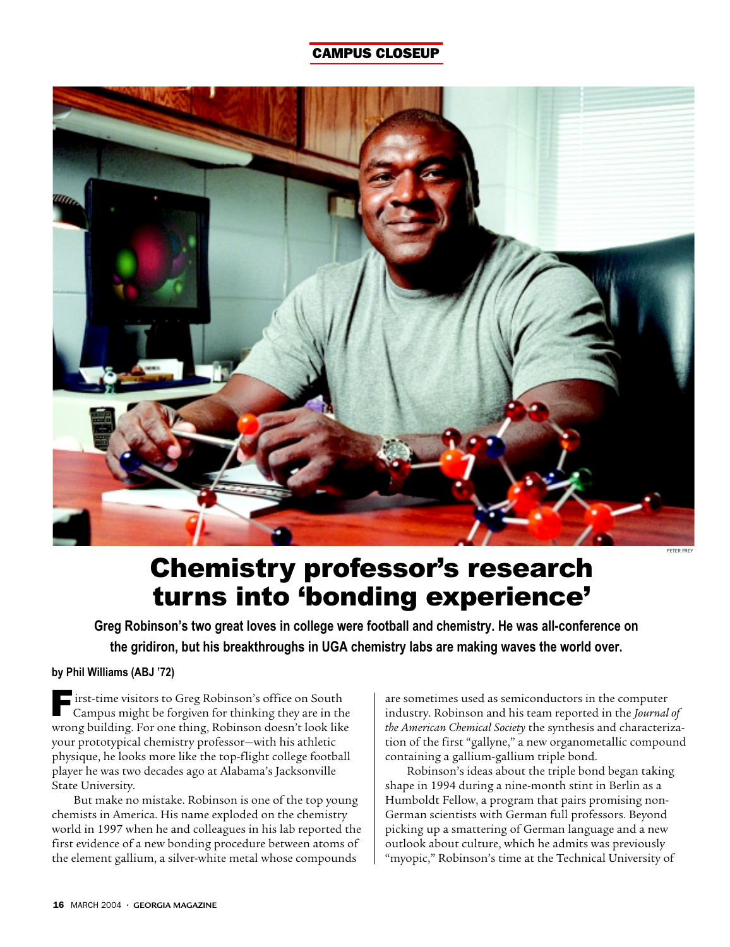## CAMPUS CLOSEUP



## Chemistry professor's research turns into 'bonding experience'

**Greg Robinson's two great loves in college were football and chemistry. He was all-conference on the gridiron, but his breakthroughs in UGA chemistry labs are making waves the world over.**

## **by Phil Williams (ABJ '72)**

 $\blacksquare$  irst-time visitors to Greg Robinson's office on South Campus might be forgiven for thinking they are in the wrong building. For one thing, Robinson doesn't look like your prototypical chemistry professor—with his athletic physique, he looks more like the top-flight college football player he was two decades ago at Alabama's Jacksonville State University.

But make no mistake. Robinson is one of the top young chemists in America. His name exploded on the chemistry world in 1997 when he and colleagues in his lab reported the first evidence of a new bonding procedure between atoms of the element gallium, a silver-white metal whose compounds

are sometimes used as semiconductors in the computer industry. Robinson and his team reported in the *Journal of the American Chemical Society* the synthesis and characterization of the first "gallyne," a new organometallic compound containing a gallium-gallium triple bond.

Robinson's ideas about the triple bond began taking shape in 1994 during a nine-month stint in Berlin as a Humboldt Fellow, a program that pairs promising non-German scientists with German full professors. Beyond picking up a smattering of German language and a new outlook about culture, which he admits was previously "myopic," Robinson's time at the Technical University of